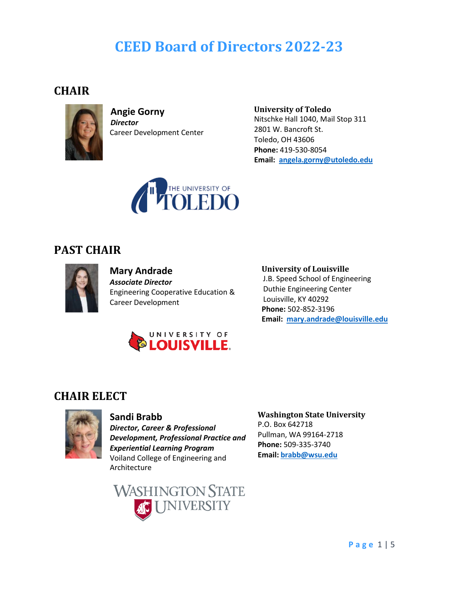# **CEED Board of Directors 2022-23**

#### **CHAIR**



**Angie Gorny** *Director* Career Development Center **University of Toledo** Nitschke Hall 1040, Mail Stop 311 2801 W. Bancroft St. Toledo, OH 43606 **Phone:** 419-530-8054  **Email: [angela.gorny@utoledo.edu](mailto:angela.gorny@utoledo.edu)**



### **PAST CHAIR**



#### **Mary Andrade** *Associate Director*  Engineering Cooperative Education & Career Development



#### **University of Louisville**

 J.B. Speed School of Engineering Duthie Engineering Center Louisville, KY 40292 **Phone:** 502-852-3196 **Email: [mary.andrade@louisville.edu](mailto:mary.andrade@louisville.edu)**

#### **CHAIR ELECT**



#### **Sandi Brabb**

*Director, Career & Professional Development, Professional Practice and Experiential Learning Program* Voiland College of Engineering and Architecture



#### **Washington State University**

P.O. Box 642718 Pullman, WA 99164-2718 **Phone:** 509-335-3740 **Email: [brabb@wsu.edu](mailto:brabb@wsu.edu)**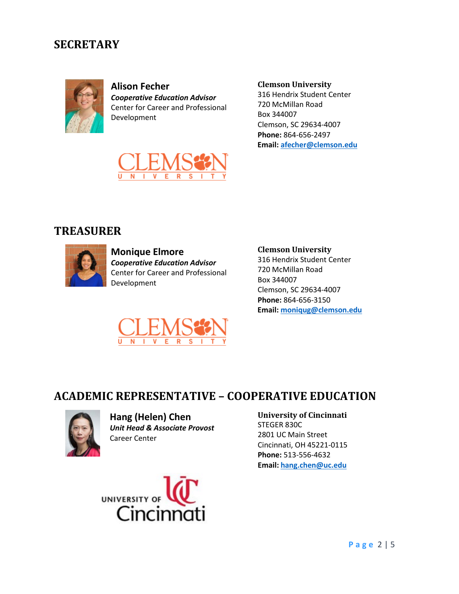### **SECRETARY**



**Alison Fecher** *Cooperative Education Advisor* Center for Career and Professional Development



316 Hendrix Student Center 720 McMillan Road Box 344007 Clemson, SC 29634-4007 **Phone:** 864-656-2497 **Email[: afecher@clemson.edu](mailto:afecher@clemson.edu)**



### **TREASURER**



**Monique Elmore** *Cooperative Education Advisor* Center for Career and Professional Development



**Clemson University**

316 Hendrix Student Center 720 McMillan Road Box 344007 Clemson, SC 29634-4007 **Phone:** 864-656-3150 **Email[: moniqug@clemson.edu](mailto:moniqug@clemson.edu)**

### **ACADEMIC REPRESENTATIVE – COOPERATIVE EDUCATION**



**Hang (Helen) Chen** *Unit Head & Associate Provost* Career Center



#### **University of Cincinnati**

STEGER 830C 2801 UC Main Street Cincinnati, OH 45221-0115 **Phone:** 513-556-4632 **Email: [hang.chen@uc.edu](mailto:hang.chen@uc.edu)**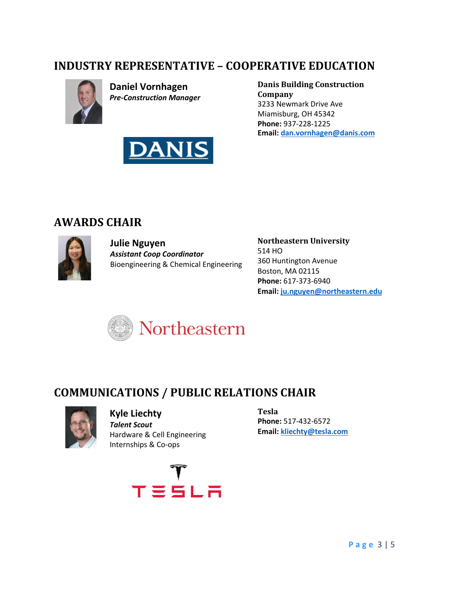### **INDUSTRY REPRESENTATIVE – COOPERATIVE EDUCATION**



**Daniel Vornhagen** *Pre-Construction Manager*



**Danis Building Construction Company** 3233 Newmark Drive Ave Miamisburg, OH 45342 **Phone:** 937-228-1225 **Email[: dan.vornhagen@danis.com](mailto:dan.vornhagen@danis.com)**

### **AWARDS CHAIR**



**Julie Nguyen** *Assistant Coop Coordinator* Bioengineering & Chemical Engineering **Northeastern University** 514 HO 360 Huntington Avenue Boston, MA 02115 **Phone:** 617-373-6940 **Email[: ju.nguyen@northeastern.edu](mailto:ju.nguyen@northeastern.edu)**



## **COMMUNICATIONS / PUBLIC RELATIONS CHAIR**



**Kyle Liechty** *Talent Scout* Hardware & Cell Engineering Internships & Co-ops



**Tesla Phone:** 517-432-6572 **Email: [kliechty@tesla.com](mailto:kliechty@tesla.com)**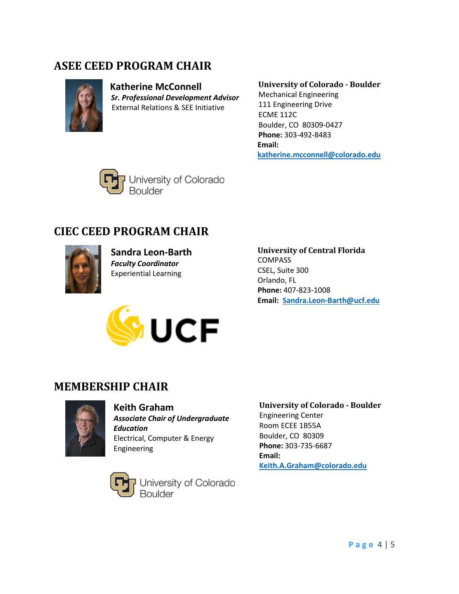## **ASEE CEED PROGRAM CHAIR**



 **Katherine McConnell**  *Sr. Professional Development Advisor* External Relations & SEE Initiative

### **University of Colorado - Boulder**

Mechanical Engineering 111 Engineering Drive ECME 112C Boulder, CO 80309-0427 **Phone:** 303-492-8483 **Email: [katherine.mcconnell@colorado.edu](mailto:katherine.mcconnell@colorado.edu)**



# **CIEC CEED PROGRAM CHAIR**



**Sandra Leon-Barth** *Faculty Coordinator* Experiential Learning



**University of Central Florida** COMPASS CSEL, Suite 300 Orlando, FL **Phone:** 407-823-1008 **Email: [Sandra.Leon-Barth@ucf.edu](mailto:Sandra.Leon-Barth@ucf.edu)**

## **MEMBERSHIP CHAIR**



#### **Keith Graham**

*Associate Chair of Undergraduate Education* Electrical, Computer & Energy Engineering



University of Colorado<br>Boulder

#### **University of Colorado - Boulder** Engineering Center Room ECEE 1B55A Boulder, CO 80309 **Phone:** 303-735-6687 **Email: [Keith.A.Graham@colorado.edu](mailto:Keith.A.Graham@colorado.edu)**